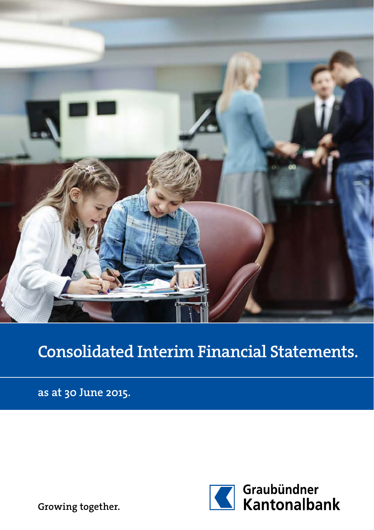

# Consolidated Interim Financial Statements.

as at 30 June 2015.



Growing together.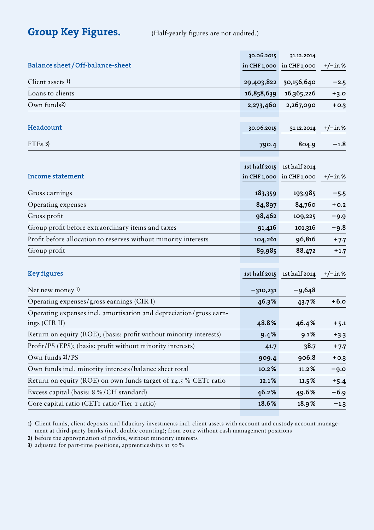Group Key Figures. (Half-yearly figures are not audited.)

|                                                                    | 30.06.2015    | 31.12.2014                  |            |
|--------------------------------------------------------------------|---------------|-----------------------------|------------|
| Balance sheet/Off-balance-sheet                                    |               | in CHF 1,000 in CHF 1,000   | $+/-$ in % |
| Client assets 1)                                                   | 29,403,822    | 30,156,640                  | $-2.5$     |
| Loans to clients                                                   | 16,858,639    | 16,365,226                  | $+3.0$     |
| Own funds <sup>2</sup> )                                           | 2,273,460     | 2,267,090                   | $+0.3$     |
|                                                                    |               |                             |            |
| Headcount                                                          | 30.06.2015    | 31.12.2014                  | +/– in %   |
| $FTEs$ 3)                                                          | 790.4         | 804.9                       | $-1.8$     |
|                                                                    |               | 1st half 2015 1st half 2014 |            |
| <b>Income statement</b>                                            |               | in CHF 1,000 in CHF 1,000   | +/– in %   |
|                                                                    |               |                             |            |
| Gross earnings                                                     | 183,359       | 193,985                     | $-5.5$     |
| Operating expenses                                                 | 84,897        | 84,760                      | $+0.2$     |
| Gross profit                                                       | 98,462        | 109,225                     | $-9.9$     |
| Group profit before extraordinary items and taxes                  | 91,416        | 101,316                     | -9.8       |
| Profit before allocation to reserves without minority interests    | 104,261       | 96,816                      | $+7.7$     |
| Group profit                                                       | 89,985        | 88,472                      | $+1.7$     |
|                                                                    |               |                             |            |
| <b>Key figures</b>                                                 | 1st half 2015 | 1st half 2014               | $+/-$ in % |
| Net new money 1)                                                   | $-310,231$    | $-9,648$                    |            |
| Operating expenses/gross earnings (CIR I)                          | 46.3%         | 43.7%                       | +6.0       |
| Operating expenses incl. amortisation and depreciation/gross earn- |               |                             |            |
| ings (CIR II)                                                      | 48.8%         | 46.4%                       | $+5.1$     |
| Return on equity (ROE); (basis: profit without minority interests) | 9.4%          | 9.1%                        | $+3.3$     |
| Profit/PS (EPS); (basis: profit without minority interests)        | 41.7          | 38.7                        | $+7.7$     |
| Own funds 2)/PS                                                    | 909.4         | 906.8                       | $+0.3$     |
| Own funds incl. minority interests/balance sheet total             | 10.2%         | 11.2%                       | -9.0       |
| Return on equity (ROE) on own funds target of $14.5\%$ CETI ratio  | 12.1%         | 11.5%                       | $+5.4$     |
| Excess capital (basis: 8%/CH standard)                             | 46.2%         | 49.6%                       | -6.9       |
| Core capital ratio (CETI ratio/Tier I ratio)                       | 18.6%         | 18.9%                       | $-1.3$     |
|                                                                    |               |                             |            |

1) Client funds, client deposits and fiduciary investments incl. client assets with account and custody account manage-ment at third-party banks (incl. double counting); from 2012 without cash management positions

2) before the appropriation of profits, without minority interests

3) adjusted for part-time positions, apprenticeships at 50%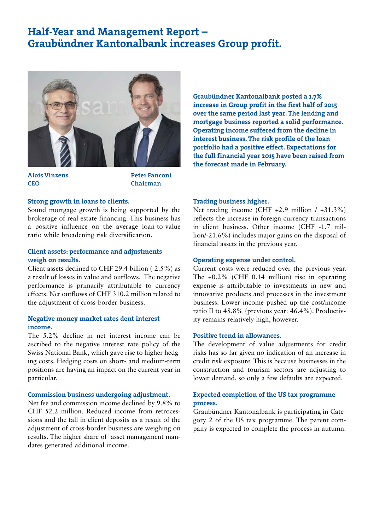## Half-Year and Management Report – Graubündner Kantonalbank increases Group profit.



Alois Vinzens CEO

Peter Fanconi Chairman

## Strong growth in loans to clients.

Sound mortgage growth is being supported by the brokerage of real estate financing. This business has a positive influence on the average loan-to-value ratio while broadening risk diversification.

## Client assets: performance and adjustments weigh on results.

Client assets declined to CHF 29.4 billion (-2.5%) as a result of losses in value and outflows. The negative performance is primarily attributable to currency effects. Net outflows of CHF 310.2 million related to the adjustment of cross-border business.

## Negative money market rates dent interest income.

The 5.2% decline in net interest income can be ascribed to the negative interest rate policy of the Swiss National Bank, which gave rise to higher hedging costs. Hedging costs on short- and medium-term positions are having an impact on the current year in particular.

## Commission business undergoing adjustment.

Net fee and commission income declined by 9.8% to CHF 52.2 million. Reduced income from retrocessions and the fall in client deposits as a result of the adjustment of cross-border business are weighing on results. The higher share of asset management mandates generated additional income.

Graubündner Kantonalbank posted a 1.7% increase in Group profit in the first half of 2015 over the same period last year. The lending and mortgage business reported a solid performance. Operating income suffered from the decline in interest business. The risk profile of the loan portfolio had a positive effect. Expectations for the full financial year 2015 have been raised from the forecast made in February.

## Trading business higher.

Net trading income (CHF +2.9 million / +31.3%) reflects the increase in foreign currency transactions in client business. Other income (CHF -1.7 million/-21.6%) includes major gains on the disposal of financial assets in the previous year.

## Operating expense under control.

Current costs were reduced over the previous year. The +0.2% (CHF 0.14 million) rise in operating expense is attributable to investments in new and innovative products and processes in the investment business. Lower income pushed up the cost/income ratio II to 48.8% (previous year: 46.4%). Productivity remains relatively high, however.

## Positive trend in allowances.

The development of value adjustments for credit risks has so far given no indication of an increase in credit risk exposure. This is because businesses in the construction and tourism sectors are adjusting to lower demand, so only a few defaults are expected.

## Expected completion of the US tax programme process.

Graubündner Kantonalbank is participating in Category 2 of the US tax programme. The parent company is expected to complete the process in autumn.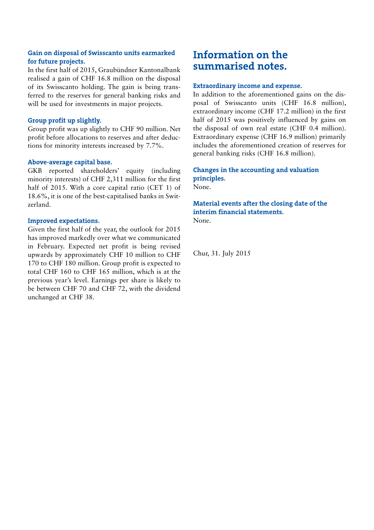## Gain on disposal of Swisscanto units earmarked for future projects.

In the first half of 2015, Graubündner Kantonalbank realised a gain of CHF 16.8 million on the disposal of its Swisscanto holding. The gain is being transferred to the reserves for general banking risks and will be used for investments in major projects.

## Group profit up slightly.

Group profit was up slightly to CHF 90 million. Net profit before allocations to reserves and after deductions for minority interests increased by 7.7%.

## Above-average capital base.

GKB reported shareholders' equity (including minority interests) of CHF 2,311 million for the first half of 2015. With a core capital ratio (CET 1) of 18.6%, it is one of the best-capitalised banks in Switzerland.

## Improved expectations.

Given the first half of the year, the outlook for 2015 has improved markedly over what we communicated in February. Expected net profit is being revised upwards by approximately CHF 10 million to CHF 170 to CHF 180 million. Group profit is expected to total CHF 160 to CHF 165 million, which is at the previous year's level. Earnings per share is likely to be between CHF 70 and CHF 72, with the dividend unchanged at CHF 38.

## Information on the summarised notes.

## Extraordinary income and expense.

In addition to the aforementioned gains on the disposal of Swisscanto units (CHF 16.8 million), extraordinary income (CHF 17.2 million) in the first half of 2015 was positively influenced by gains on the disposal of own real estate (CHF 0.4 million). Extraordinary expense (CHF 16.9 million) primarily includes the aforementioned creation of reserves for general banking risks (CHF 16.8 million).

## Changes in the accounting and valuation principles.

None.

## Material events after the closing date of the interim financial statements. None.

Chur, 31. July 2015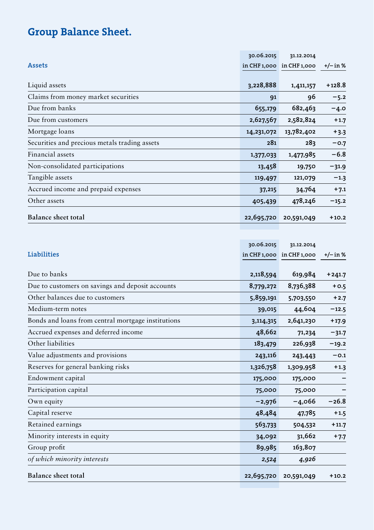# Group Balance Sheet.

|                                               | 30.06.2015 | 31.12.2014                |            |
|-----------------------------------------------|------------|---------------------------|------------|
| <b>Assets</b>                                 |            | in CHF 1,000 in CHF 1,000 | $+/-$ in % |
|                                               |            |                           |            |
| Liquid assets                                 | 3,228,888  | 1,411,157                 | $+128.8$   |
| Claims from money market securities           | 91         | 96                        | $-5.2$     |
| Due from banks                                | 655,179    | 682,463                   | $-4.0$     |
| Due from customers                            | 2,627,567  | 2,582,824                 | $+1.7$     |
| Mortgage loans                                | 14,231,072 | 13,782,402                | $+3.3$     |
| Securities and precious metals trading assets | 281        | 283                       | $-0.7$     |
| Financial assets                              | 1,377,033  | 1,477,985                 | $-6.8$     |
| Non-consolidated participations               | 13,458     | 19,750                    | $-31.9$    |
| Tangible assets                               | 119,497    | 121,079                   | $-1.3$     |
| Accrued income and prepaid expenses           | 37,215     | 34,764                    | $+7.1$     |
| Other assets                                  | 405,439    | 478,246                   | $-15.2$    |
| Balance sheet total                           | 22,695,720 | 20,591,049                | $+10.2$    |

|                                                    | 30.06.2015 | 31.12.2014                |            |
|----------------------------------------------------|------------|---------------------------|------------|
| Liabilities                                        |            | in CHF 1,000 in CHF 1,000 | $+/- in %$ |
| Due to banks                                       | 2,118,594  | 619,984                   | $+241.7$   |
| Due to customers on savings and deposit accounts   | 8,779,272  | 8,736,388                 | $+0.5$     |
| Other balances due to customers                    | 5,859,191  | 5,703,550                 | $+2.7$     |
| Medium-term notes                                  | 39,015     | 44,604                    | $-12.5$    |
| Bonds and loans from central mortgage institutions | 3,114,315  | 2,641,230                 | $+17.9$    |
| Accrued expenses and deferred income               | 48,662     | 71,234                    | $-31.7$    |
| Other liabilities                                  | 183,479    | 226,938                   | $-19.2$    |
| Value adjustments and provisions                   | 243,116    | 243,443                   | $-0.1$     |
| Reserves for general banking risks                 | 1,326,758  | 1,309,958                 | $+1.3$     |
| Endowment capital                                  | 175,000    | 175,000                   |            |
| Participation capital                              | 75,000     | 75,000                    |            |
| Own equity                                         | $-2,976$   | $-4,066$                  | $-26.8$    |
| Capital reserve                                    | 48,484     | 47,785                    | $+1.5$     |
| Retained earnings                                  | 563,733    | 504,532                   | $+11.7$    |
| Minority interests in equity                       | 34,092     | 31,662                    | $+7.7$     |
| Group profit                                       | 89,985     | 163,807                   |            |
| of which minority interests                        | 2,524      | 4,926                     |            |
| <b>Balance sheet total</b>                         | 22,695,720 | 20,591,049                | $+10.2$    |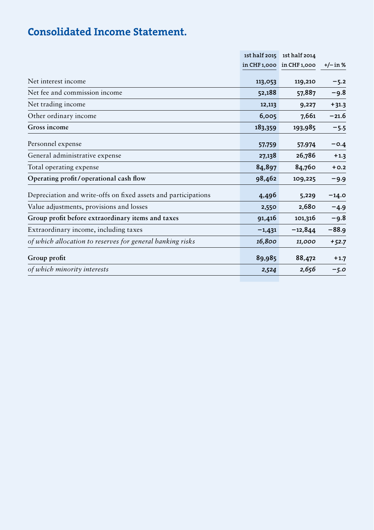# Consolidated Income Statement.

|                                                                |          | 1st half 2015 1st half 2014 |          |
|----------------------------------------------------------------|----------|-----------------------------|----------|
|                                                                |          | in CHF 1,000 in CHF 1,000   | +/– in % |
| Net interest income                                            | 113,053  | 119,210                     | $-5.2$   |
| Net fee and commission income                                  | 52,188   | 57,887                      | $-9.8$   |
| Net trading income                                             | 12,113   | 9,227                       | $+31.3$  |
| Other ordinary income                                          | 6,005    | 7,661                       | $-21.6$  |
| Gross income                                                   | 183,359  | 193,985                     | $-5.5$   |
| Personnel expense                                              | 57,759   | 57,974                      | $-0.4$   |
| General administrative expense                                 | 27,138   | 26,786                      | $+1.3$   |
| Total operating expense                                        | 84,897   | 84,760                      | $+0.2$   |
| Operating profit/operational cash flow                         | 98,462   | 109,225                     | $-9.9$   |
| Depreciation and write-offs on fixed assets and participations | 4,496    | 5,229                       | $-14.0$  |
| Value adjustments, provisions and losses                       | 2,550    | 2,680                       | $-4.9$   |
| Group profit before extraordinary items and taxes              | 91,416   | 101,316                     | $-9.8$   |
| Extraordinary income, including taxes                          | $-1,431$ | $-12,844$                   | $-88.9$  |
| of which allocation to reserves for general banking risks      | 16,800   | 11,000                      | $+52.7$  |
| Group profit                                                   | 89,985   | 88,472                      | $+1.7$   |
| of which minority interests                                    | 2,524    | 2,656                       | $-5.0$   |
|                                                                |          |                             |          |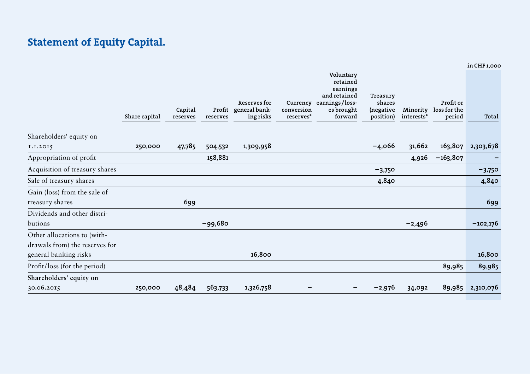# Statement of Equity Capital.

in CHF 1,000

| position)<br>Share capital<br>ing risks<br>reserves*<br>forward<br>interests*<br>period<br>reserves<br>reserves<br>Shareholders' equity on<br>163,807<br>31,662<br>47,785<br>1,309,958<br>$-4,066$<br>250,000<br>504,532<br>I.I.2015<br>Appropriation of profit<br>158,881<br>4,926<br>$-163,807$<br>Acquisition of treasury shares<br>$-3,750$<br>Sale of treasury shares<br>4,840<br>Gain (loss) from the sale of<br>treasury shares<br>699<br>Dividends and other distri-<br>butions<br>$-99,680$<br>$-2,496$<br>Other allocations to (with-<br>drawals from) the reserves for<br>general banking risks<br>16,800<br>Profit/loss (for the period)<br>89,985<br>Shareholders' equity on<br>48,484<br>1,326,758<br>89,985<br>563,733<br>30.06.2015<br>$-2,976$<br>250,000<br>34,092 |  | Capital | Profit | Reserves for<br>general bank- | conversion | Voluntary<br>retained<br>earnings<br>and retained<br>Currency earnings/loss-<br>es brought | Treasury<br>shares<br>(negative | Minority | Profit or<br>loss for the |            |
|--------------------------------------------------------------------------------------------------------------------------------------------------------------------------------------------------------------------------------------------------------------------------------------------------------------------------------------------------------------------------------------------------------------------------------------------------------------------------------------------------------------------------------------------------------------------------------------------------------------------------------------------------------------------------------------------------------------------------------------------------------------------------------------|--|---------|--------|-------------------------------|------------|--------------------------------------------------------------------------------------------|---------------------------------|----------|---------------------------|------------|
|                                                                                                                                                                                                                                                                                                                                                                                                                                                                                                                                                                                                                                                                                                                                                                                      |  |         |        |                               |            |                                                                                            |                                 |          |                           | Total      |
|                                                                                                                                                                                                                                                                                                                                                                                                                                                                                                                                                                                                                                                                                                                                                                                      |  |         |        |                               |            |                                                                                            |                                 |          |                           |            |
|                                                                                                                                                                                                                                                                                                                                                                                                                                                                                                                                                                                                                                                                                                                                                                                      |  |         |        |                               |            |                                                                                            |                                 |          |                           | 2,303,678  |
|                                                                                                                                                                                                                                                                                                                                                                                                                                                                                                                                                                                                                                                                                                                                                                                      |  |         |        |                               |            |                                                                                            |                                 |          |                           |            |
|                                                                                                                                                                                                                                                                                                                                                                                                                                                                                                                                                                                                                                                                                                                                                                                      |  |         |        |                               |            |                                                                                            |                                 |          |                           | $-3,750$   |
|                                                                                                                                                                                                                                                                                                                                                                                                                                                                                                                                                                                                                                                                                                                                                                                      |  |         |        |                               |            |                                                                                            |                                 |          |                           | 4,840      |
|                                                                                                                                                                                                                                                                                                                                                                                                                                                                                                                                                                                                                                                                                                                                                                                      |  |         |        |                               |            |                                                                                            |                                 |          |                           |            |
|                                                                                                                                                                                                                                                                                                                                                                                                                                                                                                                                                                                                                                                                                                                                                                                      |  |         |        |                               |            |                                                                                            |                                 |          |                           | 699        |
|                                                                                                                                                                                                                                                                                                                                                                                                                                                                                                                                                                                                                                                                                                                                                                                      |  |         |        |                               |            |                                                                                            |                                 |          |                           |            |
|                                                                                                                                                                                                                                                                                                                                                                                                                                                                                                                                                                                                                                                                                                                                                                                      |  |         |        |                               |            |                                                                                            |                                 |          |                           | $-102,176$ |
|                                                                                                                                                                                                                                                                                                                                                                                                                                                                                                                                                                                                                                                                                                                                                                                      |  |         |        |                               |            |                                                                                            |                                 |          |                           |            |
|                                                                                                                                                                                                                                                                                                                                                                                                                                                                                                                                                                                                                                                                                                                                                                                      |  |         |        |                               |            |                                                                                            |                                 |          |                           |            |
|                                                                                                                                                                                                                                                                                                                                                                                                                                                                                                                                                                                                                                                                                                                                                                                      |  |         |        |                               |            |                                                                                            |                                 |          |                           | 16,800     |
|                                                                                                                                                                                                                                                                                                                                                                                                                                                                                                                                                                                                                                                                                                                                                                                      |  |         |        |                               |            |                                                                                            |                                 |          |                           | 89,985     |
|                                                                                                                                                                                                                                                                                                                                                                                                                                                                                                                                                                                                                                                                                                                                                                                      |  |         |        |                               |            |                                                                                            |                                 |          |                           |            |
|                                                                                                                                                                                                                                                                                                                                                                                                                                                                                                                                                                                                                                                                                                                                                                                      |  |         |        |                               |            |                                                                                            |                                 |          |                           | 2,310,076  |